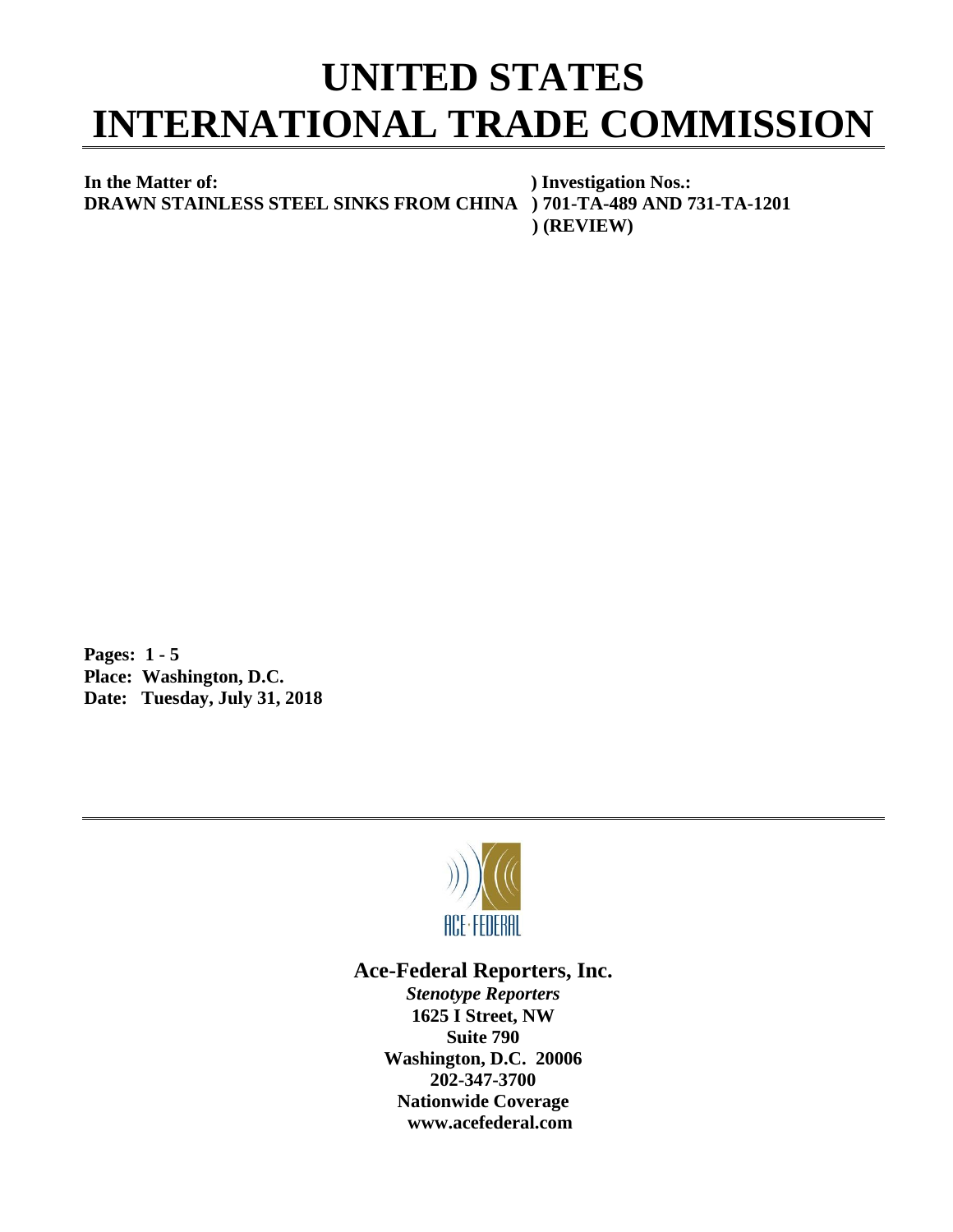## **UNITED STATES INTERNATIONAL TRADE COMMISSION**

**In the Matter of: ) Investigation Nos.: DRAWN STAINLESS STEEL SINKS FROM CHINA ) 701-TA-489 AND 731-TA-1201 ) (REVIEW)**

**Pages: 1 - 5 Place: Washington, D.C. Date: Tuesday, July 31, 2018**



## **Ace-Federal Reporters, Inc.**

*Stenotype Reporters* **1625 I Street, NW Suite 790 Washington, D.C. 20006 202-347-3700 Nationwide Coverage www.acefederal.com**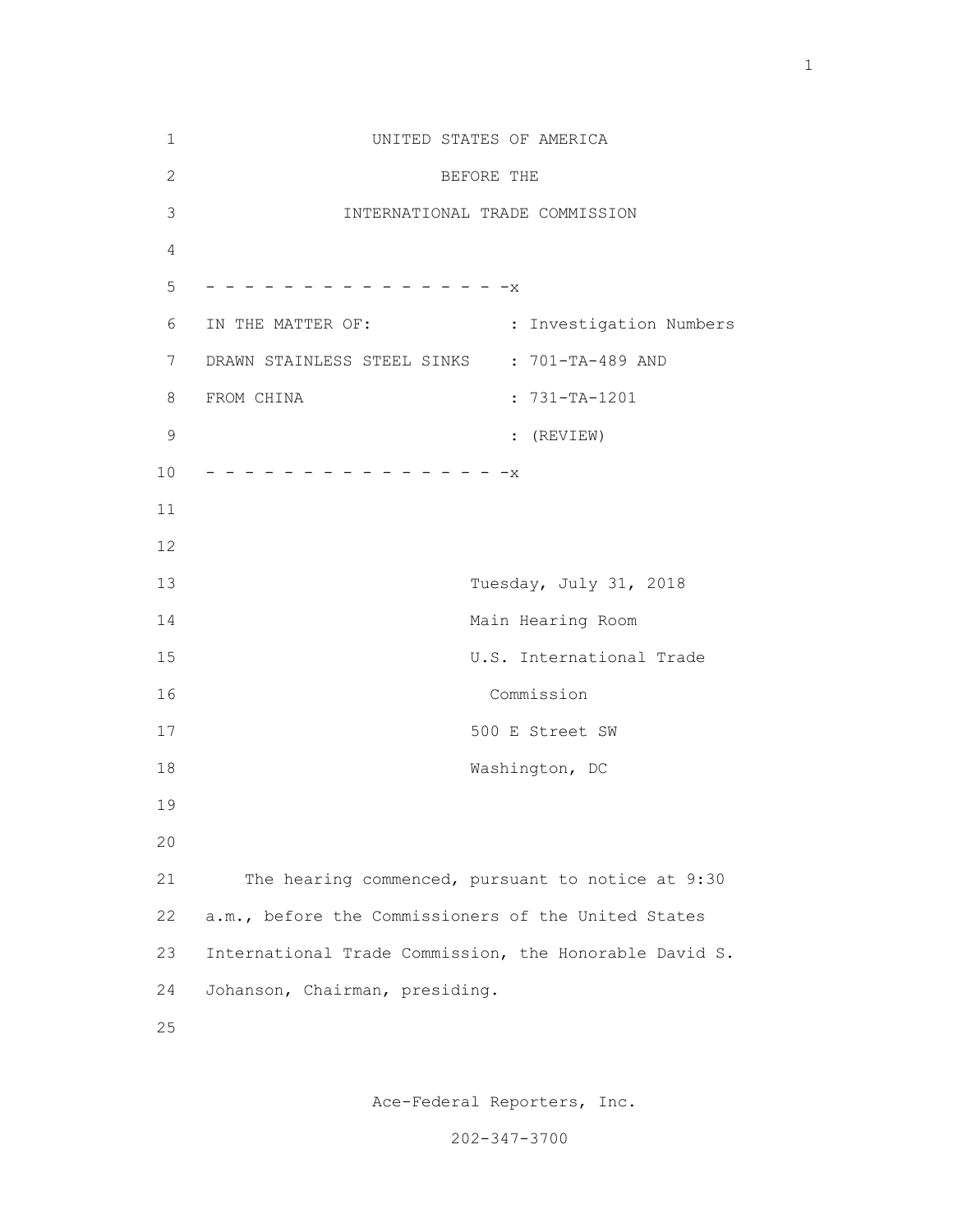| $\mathbf 1$  | UNITED STATES OF AMERICA                               |                          |
|--------------|--------------------------------------------------------|--------------------------|
| $\mathbf{2}$ | BEFORE THE                                             |                          |
| 3            | INTERNATIONAL TRADE COMMISSION                         |                          |
| 4            |                                                        |                          |
| 5            | $-$ - - - - - - - - - X                                |                          |
| 6            | IN THE MATTER OF:                                      | : Investigation Numbers  |
| 7            | DRAWN STAINLESS STEEL SINKS : 701-TA-489 AND           |                          |
| 8            | FROM CHINA                                             | $: 731-TA-1201$          |
| $\mathsf 9$  |                                                        | : $(REVIEW)$             |
| 10           | $-$ - - - - - - - - - - - - $-$                        |                          |
| 11           |                                                        |                          |
| 12           |                                                        |                          |
| 13           |                                                        | Tuesday, July 31, 2018   |
| 14           |                                                        | Main Hearing Room        |
| 15           |                                                        | U.S. International Trade |
| 16           |                                                        | Commission               |
| 17           |                                                        | 500 E Street SW          |
| $18\,$       |                                                        | Washington, DC           |
| 19           |                                                        |                          |
| 20           |                                                        |                          |
| 21           | The hearing commenced, pursuant to notice at 9:30      |                          |
| 22           | a.m., before the Commissioners of the United States    |                          |
| 23           | International Trade Commission, the Honorable David S. |                          |
| 24           | Johanson, Chairman, presiding.                         |                          |
| 25           |                                                        |                          |

Ace-Federal Reporters, Inc.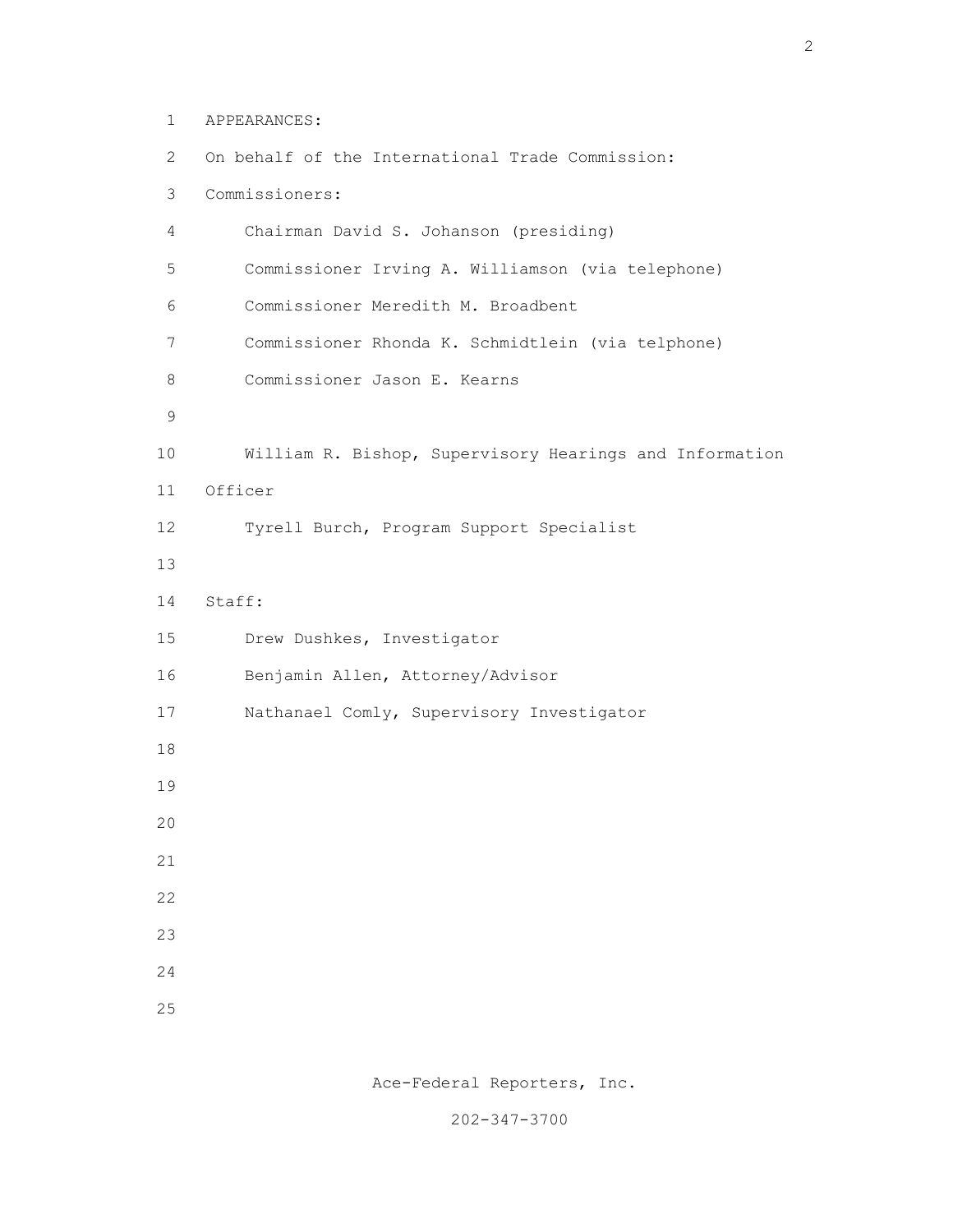1 APPEARANCES:

| $\mathbf{2}$   | On behalf of the International Trade Commission:        |
|----------------|---------------------------------------------------------|
| 3              | Commissioners:                                          |
| $\overline{4}$ | Chairman David S. Johanson (presiding)                  |
| 5              | Commissioner Irving A. Williamson (via telephone)       |
| 6              | Commissioner Meredith M. Broadbent                      |
| 7              | Commissioner Rhonda K. Schmidtlein (via telphone)       |
| 8              | Commissioner Jason E. Kearns                            |
| 9              |                                                         |
| 10             | William R. Bishop, Supervisory Hearings and Information |
| 11             | Officer                                                 |
| 12             | Tyrell Burch, Program Support Specialist                |
| 13             |                                                         |
| 14             | Staff:                                                  |
| 15             | Drew Dushkes, Investigator                              |
| 16             | Benjamin Allen, Attorney/Advisor                        |
| 17             | Nathanael Comly, Supervisory Investigator               |
| 18             |                                                         |
| 19             |                                                         |
| 20             |                                                         |
| 21             |                                                         |
| 22             |                                                         |
| 23             |                                                         |
| 24             |                                                         |
| 25             |                                                         |

Ace-Federal Reporters, Inc.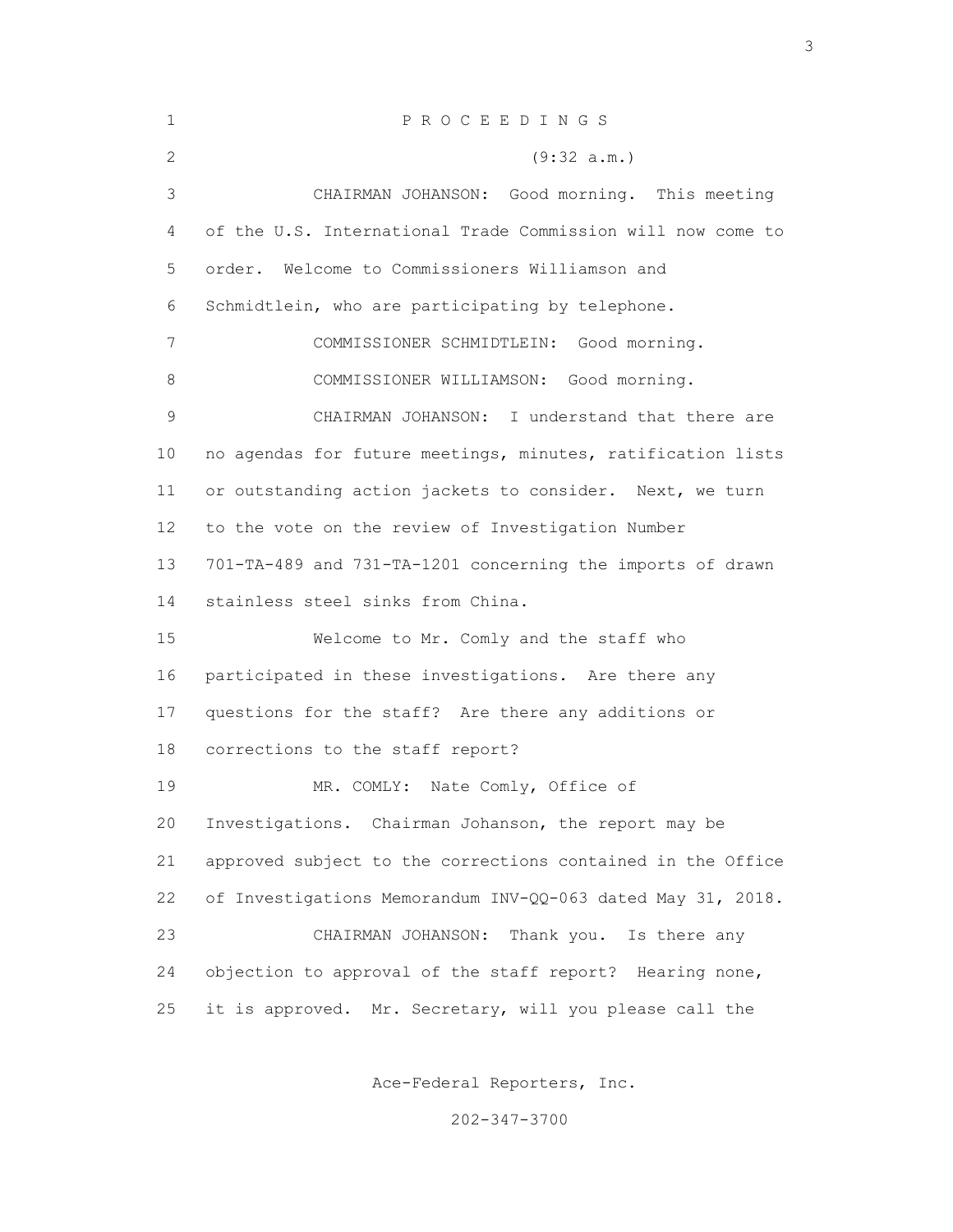| $\mathbf 1$       | PROCEEDINGS                                                 |
|-------------------|-------------------------------------------------------------|
| $\overline{c}$    | (9:32 a.m.)                                                 |
| 3                 | CHAIRMAN JOHANSON: Good morning. This meeting               |
| 4                 | of the U.S. International Trade Commission will now come to |
| 5                 | order. Welcome to Commissioners Williamson and              |
| 6                 | Schmidtlein, who are participating by telephone.            |
| 7                 | COMMISSIONER SCHMIDTLEIN:<br>Good morning.                  |
| 8                 | COMMISSIONER WILLIAMSON: Good morning.                      |
| 9                 | CHAIRMAN JOHANSON: I understand that there are              |
| 10                | no agendas for future meetings, minutes, ratification lists |
| 11                | or outstanding action jackets to consider. Next, we turn    |
| $12 \overline{ }$ | to the vote on the review of Investigation Number           |
| 13                | 701-TA-489 and 731-TA-1201 concerning the imports of drawn  |
| 14                | stainless steel sinks from China.                           |
| 15                | Welcome to Mr. Comly and the staff who                      |
| 16                | participated in these investigations. Are there any         |
| 17                | questions for the staff? Are there any additions or         |
| 18                | corrections to the staff report?                            |
| 19                | Nate Comly, Office of<br>MR. COMLY:                         |
| 20                | Investigations. Chairman Johanson, the report may be        |
| 21                | approved subject to the corrections contained in the Office |
| 22                | of Investigations Memorandum INV-QQ-063 dated May 31, 2018. |
| 23                | Thank you.<br>CHAIRMAN JOHANSON:<br>Is there any            |
| 24                | objection to approval of the staff report? Hearing none,    |
| 25                | it is approved. Mr. Secretary, will you please call the     |

<u>3</u>

Ace-Federal Reporters, Inc.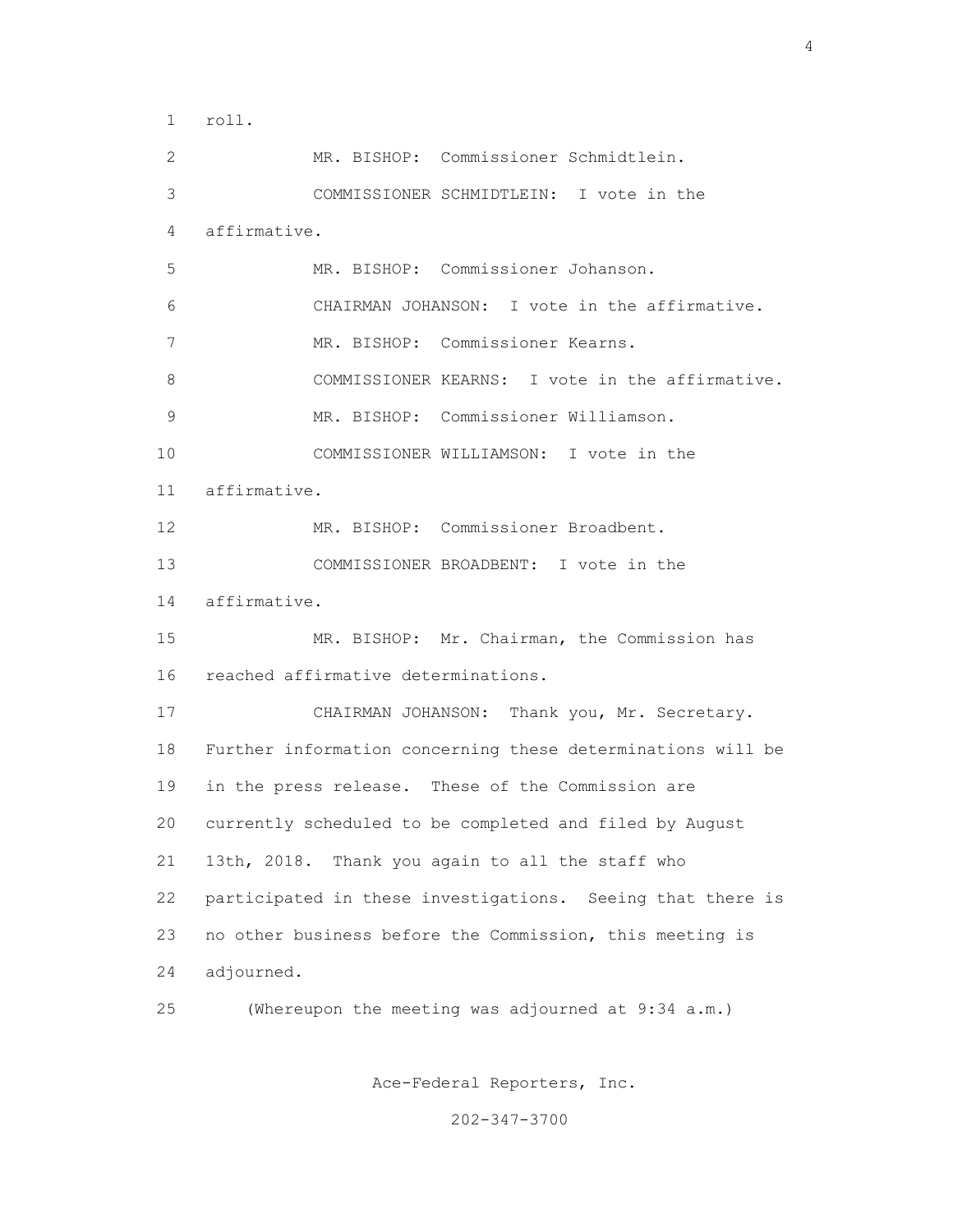1 roll. 2 MR. BISHOP: Commissioner Schmidtlein. 3 COMMISSIONER SCHMIDTLEIN: I vote in the 4 affirmative. 5 MR. BISHOP: Commissioner Johanson. 6 CHAIRMAN JOHANSON: I vote in the affirmative. 7 MR. BISHOP: Commissioner Kearns. 8 COMMISSIONER KEARNS: I vote in the affirmative. 9 MR. BISHOP: Commissioner Williamson. 10 COMMISSIONER WILLIAMSON: I vote in the 11 affirmative. 12 MR. BISHOP: Commissioner Broadbent. 13 COMMISSIONER BROADBENT: I vote in the 14 affirmative. 15 MR. BISHOP: Mr. Chairman, the Commission has 16 reached affirmative determinations. 17 CHAIRMAN JOHANSON: Thank you, Mr. Secretary. 18 Further information concerning these determinations will be 19 in the press release. These of the Commission are 20 currently scheduled to be completed and filed by August 21 13th, 2018. Thank you again to all the staff who 22 participated in these investigations. Seeing that there is 23 no other business before the Commission, this meeting is 24 adjourned. 25 (Whereupon the meeting was adjourned at 9:34 a.m.)

Ace-Federal Reporters, Inc.